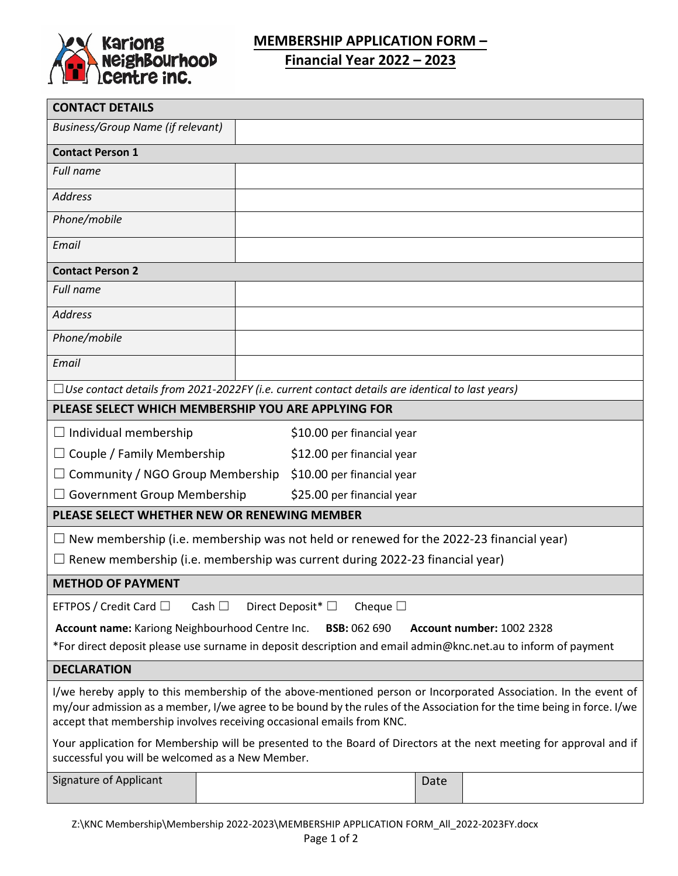

## **MEMBERSHIP APPLICATION FORM –**

**Financial Year 2022 – 2023**

| <b>CONTACT DETAILS</b>                                                                                                                                                                                                                                                                                             |  |                            |      |  |  |  |
|--------------------------------------------------------------------------------------------------------------------------------------------------------------------------------------------------------------------------------------------------------------------------------------------------------------------|--|----------------------------|------|--|--|--|
| <b>Business/Group Name (if relevant)</b>                                                                                                                                                                                                                                                                           |  |                            |      |  |  |  |
| <b>Contact Person 1</b>                                                                                                                                                                                                                                                                                            |  |                            |      |  |  |  |
| Full name                                                                                                                                                                                                                                                                                                          |  |                            |      |  |  |  |
| <b>Address</b>                                                                                                                                                                                                                                                                                                     |  |                            |      |  |  |  |
| Phone/mobile                                                                                                                                                                                                                                                                                                       |  |                            |      |  |  |  |
| Email                                                                                                                                                                                                                                                                                                              |  |                            |      |  |  |  |
| <b>Contact Person 2</b>                                                                                                                                                                                                                                                                                            |  |                            |      |  |  |  |
| <b>Full name</b>                                                                                                                                                                                                                                                                                                   |  |                            |      |  |  |  |
| <b>Address</b>                                                                                                                                                                                                                                                                                                     |  |                            |      |  |  |  |
| Phone/mobile                                                                                                                                                                                                                                                                                                       |  |                            |      |  |  |  |
| Email                                                                                                                                                                                                                                                                                                              |  |                            |      |  |  |  |
| $\Box$ Use contact details from 2021-2022FY (i.e. current contact details are identical to last years)                                                                                                                                                                                                             |  |                            |      |  |  |  |
| PLEASE SELECT WHICH MEMBERSHIP YOU ARE APPLYING FOR                                                                                                                                                                                                                                                                |  |                            |      |  |  |  |
| $\Box$ Individual membership                                                                                                                                                                                                                                                                                       |  | \$10.00 per financial year |      |  |  |  |
| Couple / Family Membership<br>\$12.00 per financial year                                                                                                                                                                                                                                                           |  |                            |      |  |  |  |
| Community / NGO Group Membership<br>\$10.00 per financial year                                                                                                                                                                                                                                                     |  |                            |      |  |  |  |
| Government Group Membership<br>\$25.00 per financial year                                                                                                                                                                                                                                                          |  |                            |      |  |  |  |
| PLEASE SELECT WHETHER NEW OR RENEWING MEMBER                                                                                                                                                                                                                                                                       |  |                            |      |  |  |  |
| New membership (i.e. membership was not held or renewed for the 2022-23 financial year)                                                                                                                                                                                                                            |  |                            |      |  |  |  |
| Renew membership (i.e. membership was current during 2022-23 financial year)                                                                                                                                                                                                                                       |  |                            |      |  |  |  |
| <b>METHOD OF PAYMENT</b>                                                                                                                                                                                                                                                                                           |  |                            |      |  |  |  |
| EFTPOS / Credit Card $\Box$<br>Direct Deposit <sup>*</sup><br>Cheque $\square$<br>Cash $\Box$                                                                                                                                                                                                                      |  |                            |      |  |  |  |
| Account name: Kariong Neighbourhood Centre Inc.<br><b>Account number: 1002 2328</b><br><b>BSB: 062 690</b>                                                                                                                                                                                                         |  |                            |      |  |  |  |
| *For direct deposit please use surname in deposit description and email admin@knc.net.au to inform of payment                                                                                                                                                                                                      |  |                            |      |  |  |  |
| <b>DECLARATION</b>                                                                                                                                                                                                                                                                                                 |  |                            |      |  |  |  |
| I/we hereby apply to this membership of the above-mentioned person or Incorporated Association. In the event of<br>my/our admission as a member, I/we agree to be bound by the rules of the Association for the time being in force. I/we<br>accept that membership involves receiving occasional emails from KNC. |  |                            |      |  |  |  |
| Your application for Membership will be presented to the Board of Directors at the next meeting for approval and if<br>successful you will be welcomed as a New Member.                                                                                                                                            |  |                            |      |  |  |  |
| Signature of Applicant                                                                                                                                                                                                                                                                                             |  |                            | Date |  |  |  |